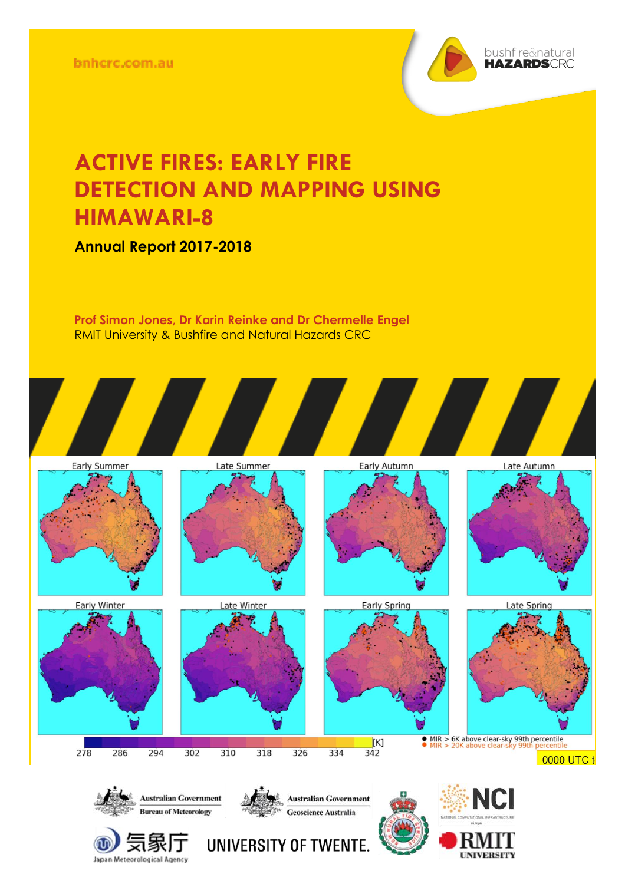

## **ACTIVE FIRES: EARLY FIRE DETECTION AND MAPPING USING HIMAWARI-8**

**Annual Report 2017-2018**

**Prof Simon Jones, Dr Karin Reinke and Dr Chermelle Engel** RMIT University & Bushfire and Natural Hazards CRC







 $278$ 









 $[K]$ 

 $342$ 



 $\bullet$  MIR  $> 6$ K above clear-sky 99th percentile

0000 UTC t



 $302$ 

 $310$ 

 $318$ 

294

Japan Meteorological Agency

286



 $326$ 

334



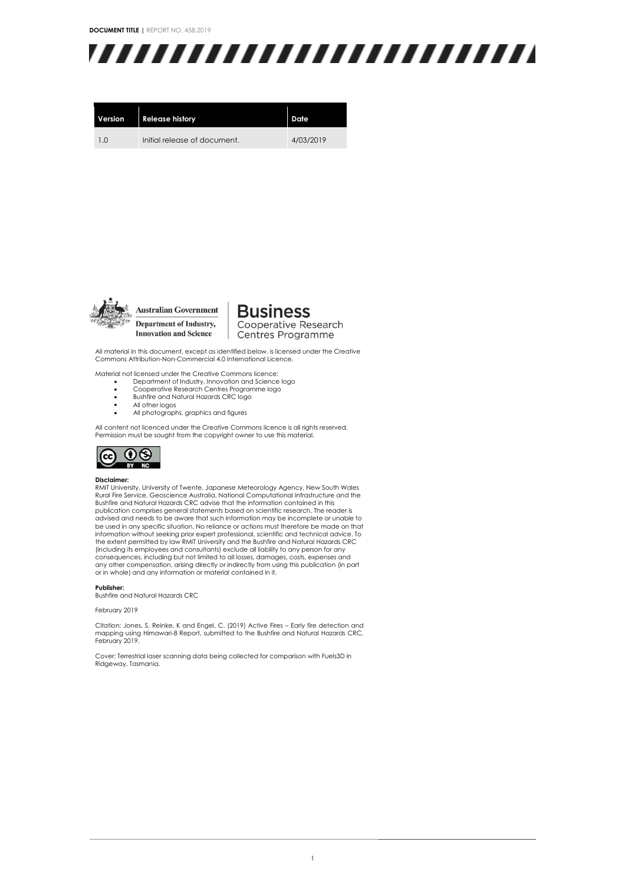**DOCUMENT TITLE |** REPORT NO. 458.2019



| Version | <b>Release history</b>       | Date      |
|---------|------------------------------|-----------|
| 10      | Initial release of document. | 4/03/2019 |



Department of Industry, **Innovation and Science** 

**Business** Cooperative Research Centres Programme

All material in this document, except as identified below, is licensed under the Creative Commons Attribution-Non-Commercial 4.0 International Licence.

Material not licensed under the Creative Commons licence:

- Department of Industry, Innovation and Science logo Cooperative Research Centres Programme logo
- 
- Bushfire and Natural Hazards CRC logo All other logos
- All photographs, graphics and figures

All content not licenced under the Creative Commons licence is all rights reserved. Permission must be sought from the copyright owner to use this material.



#### **Disclaimer:**

RMIT University, University of Twente, Japanese Meteorology Agency, New South Wales Rural Fire Service, Geoscience Australia, National Computational Infrastructure and the Bushfire and Natural Hazards CRC advise that the information contained in this publication comprises general statements based on scientific research. The reader is advised and needs to be aware that such information may be incomplete or unable to be used in any specific situation. No reliance or actions must therefore be made on that information without seeking prior expert professional, scientific and technical advice. To the extent permitted by law RMIT University and the Bushfire and Natural Hazards CRC<br>(including its employees and consultants) exclude all liability to any person for any<br>consequences, including but not limited to all loss any other compensation, arising directly or indirectly from using this publication (in part or in whole) and any information or material contained in it.

#### **Publisher:**

Bushfire and Natural Hazards CRC

February 2019

Citation: Jones, S, Reinke, K and Engel, C. (2019) Active Fires – Early fire detection and mapping using Himawari-8 Report, submitted to the Bushfire and Natural Hazards CRC, February 2019.

Cover: Terrestrial laser scanning data being collected for comparison with Fuels3D in Ridgeway, Tasmania.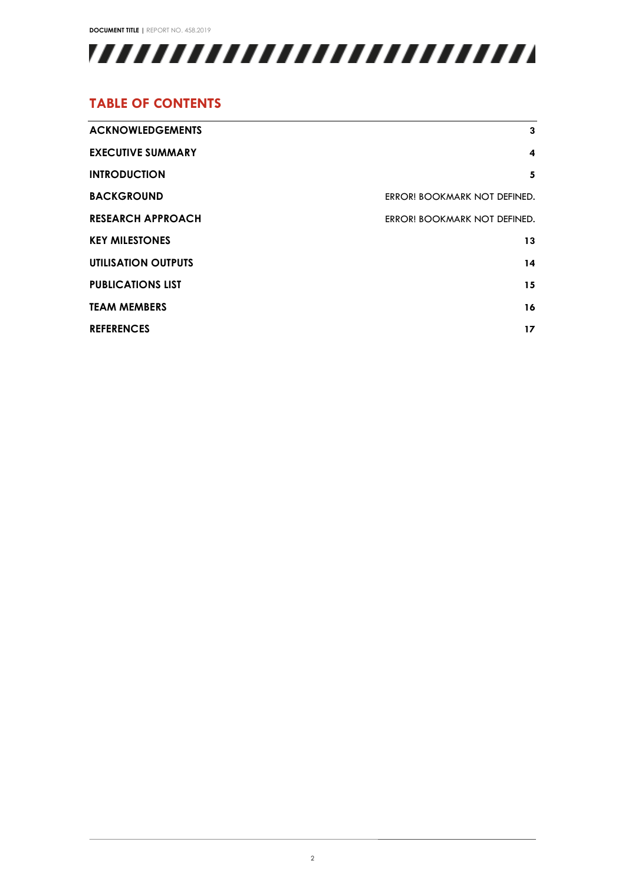**DOCUMENT TITLE |** REPORT NO. 458.2019



### **TABLE OF CONTENTS**

| <b>ACKNOWLEDGEMENTS</b>    | 3                            |
|----------------------------|------------------------------|
|                            |                              |
| <b>EXECUTIVE SUMMARY</b>   | 4                            |
| <b>INTRODUCTION</b>        | 5                            |
| <b>BACKGROUND</b>          | ERROR! BOOKMARK NOT DEFINED. |
| <b>RESEARCH APPROACH</b>   | ERROR! BOOKMARK NOT DEFINED. |
| <b>KEY MILESTONES</b>      | 13                           |
| <b>UTILISATION OUTPUTS</b> | 14                           |
| <b>PUBLICATIONS LIST</b>   | 15                           |
| <b>TEAM MEMBERS</b>        | 16                           |
| <b>REFERENCES</b>          | 17                           |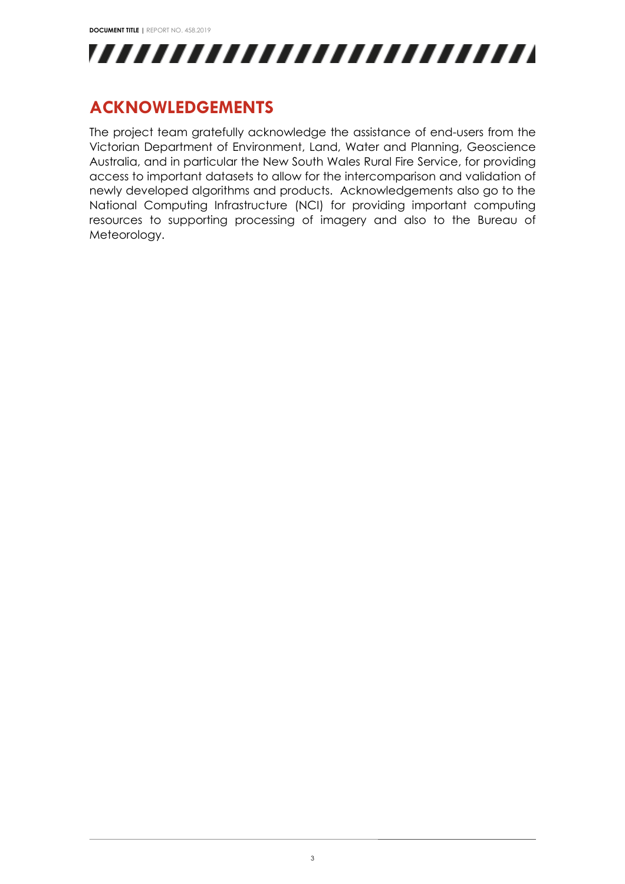

## <span id="page-3-0"></span>**ACKNOWLEDGEMENTS**

The project team gratefully acknowledge the assistance of end-users from the Victorian Department of Environment, Land, Water and Planning, Geoscience Australia, and in particular the New South Wales Rural Fire Service, for providing access to important datasets to allow for the intercomparison and validation of newly developed algorithms and products. Acknowledgements also go to the National Computing Infrastructure (NCI) for providing important computing resources to supporting processing of imagery and also to the Bureau of Meteorology.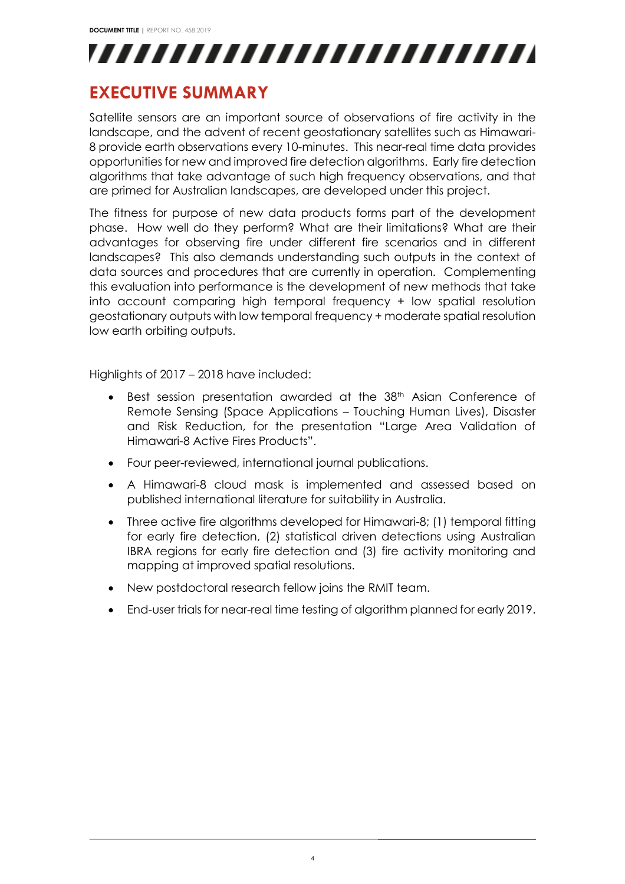

### <span id="page-4-0"></span>**EXECUTIVE SUMMARY**

Satellite sensors are an important source of observations of fire activity in the landscape, and the advent of recent geostationary satellites such as Himawari-8 provide earth observations every 10-minutes. This near-real time data provides opportunities for new and improved fire detection algorithms. Early fire detection algorithms that take advantage of such high frequency observations, and that are primed for Australian landscapes, are developed under this project.

The fitness for purpose of new data products forms part of the development phase. How well do they perform? What are their limitations? What are their advantages for observing fire under different fire scenarios and in different landscapes? This also demands understanding such outputs in the context of data sources and procedures that are currently in operation. Complementing this evaluation into performance is the development of new methods that take into account comparing high temporal frequency + low spatial resolution geostationary outputs with low temporal frequency + moderate spatial resolution low earth orbiting outputs.

Highlights of 2017 – 2018 have included:

- Best session presentation awarded at the 38<sup>th</sup> Asian Conference of Remote Sensing (Space Applications – Touching Human Lives), Disaster and Risk Reduction, for the presentation "Large Area Validation of Himawari-8 Active Fires Products".
- Four peer-reviewed, international journal publications.
- A Himawari-8 cloud mask is implemented and assessed based on published international literature for suitability in Australia.
- Three active fire algorithms developed for Himawari-8; (1) temporal fitting for early fire detection, (2) statistical driven detections using Australian IBRA regions for early fire detection and (3) fire activity monitoring and mapping at improved spatial resolutions.
- New postdoctoral research fellow joins the RMIT team.
- End-user trials for near-real time testing of algorithm planned for early 2019.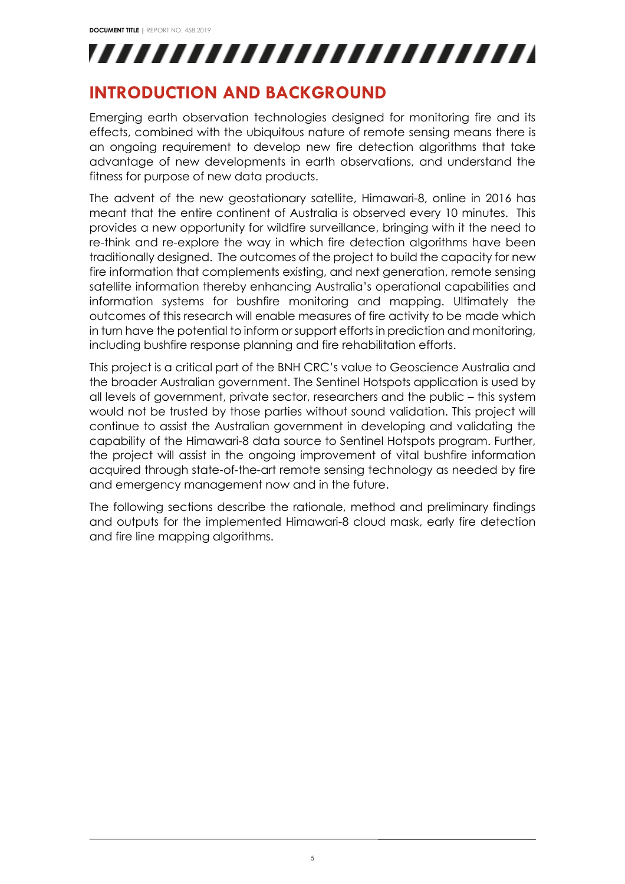## <span id="page-5-0"></span>**INTRODUCTION AND BACKGROUND**

Emerging earth observation technologies designed for monitoring fire and its effects, combined with the ubiquitous nature of remote sensing means there is an ongoing requirement to develop new fire detection algorithms that take advantage of new developments in earth observations, and understand the fitness for purpose of new data products.

The advent of the new geostationary satellite, Himawari-8, online in 2016 has meant that the entire continent of Australia is observed every 10 minutes. This provides a new opportunity for wildfire surveillance, bringing with it the need to re-think and re-explore the way in which fire detection algorithms have been traditionally designed. The outcomes of the project to build the capacity for new fire information that complements existing, and next generation, remote sensing satellite information thereby enhancing Australia's operational capabilities and information systems for bushfire monitoring and mapping. Ultimately the outcomes of this research will enable measures of fire activity to be made which in turn have the potential to inform or support efforts in prediction and monitoring, including bushfire response planning and fire rehabilitation efforts.

This project is a critical part of the BNH CRC's value to Geoscience Australia and the broader Australian government. The Sentinel Hotspots application is used by all levels of government, private sector, researchers and the public – this system would not be trusted by those parties without sound validation. This project will continue to assist the Australian government in developing and validating the capability of the Himawari-8 data source to Sentinel Hotspots program. Further, the project will assist in the ongoing improvement of vital bushfire information acquired through state-of-the-art remote sensing technology as needed by fire and emergency management now and in the future.

The following sections describe the rationale, method and preliminary findings and outputs for the implemented Himawari-8 cloud mask, early fire detection and fire line mapping algorithms.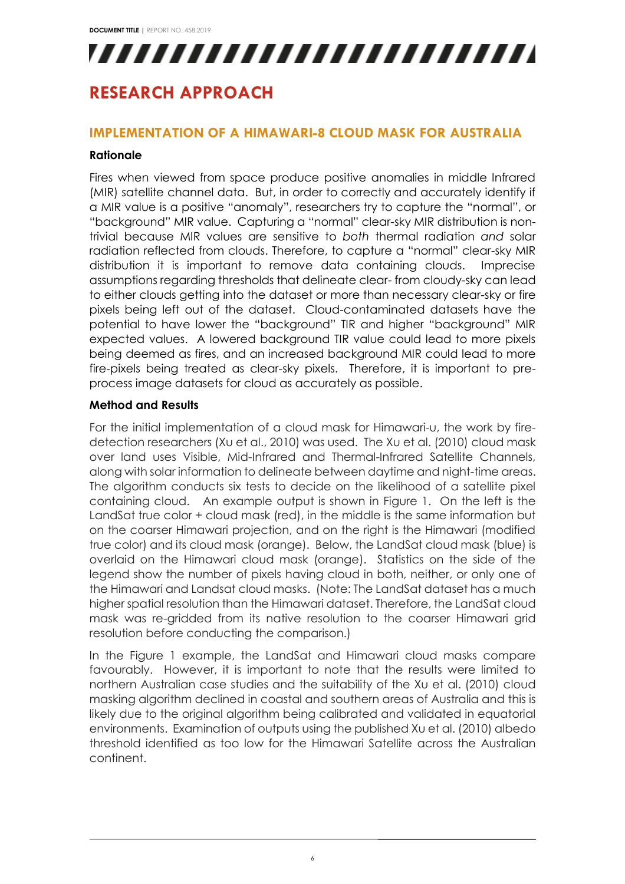## **RESEARCH APPROACH**

### **IMPLEMENTATION OF A HIMAWARI-8 CLOUD MASK FOR AUSTRALIA**

#### **Rationale**

Fires when viewed from space produce positive anomalies in middle Infrared (MIR) satellite channel data. But, in order to correctly and accurately identify if a MIR value is a positive "anomaly", researchers try to capture the "normal", or "background" MIR value. Capturing a "normal" clear-sky MIR distribution is nontrivial because MIR values are sensitive to *both* thermal radiation *and* solar radiation reflected from clouds. Therefore, to capture a "normal" clear-sky MIR distribution it is important to remove data containing clouds. Imprecise assumptions regarding thresholds that delineate clear- from cloudy-sky can lead to either clouds getting into the dataset or more than necessary clear-sky or fire pixels being left out of the dataset. Cloud-contaminated datasets have the potential to have lower the "background" TIR and higher "background" MIR expected values. A lowered background TIR value could lead to more pixels being deemed as fires, and an increased background MIR could lead to more fire-pixels being treated as clear-sky pixels. Therefore, it is important to preprocess image datasets for cloud as accurately as possible.

#### **Method and Results**

For the initial implementation of a cloud mask for Himawari-u, the work by firedetection researchers (Xu et al., 2010) was used. The Xu et al. (2010) cloud mask over land uses Visible, Mid-Infrared and Thermal-Infrared Satellite Channels, along with solar information to delineate between daytime and night-time areas. The algorithm conducts six tests to decide on the likelihood of a satellite pixel containing cloud. An example output is shown in Figure 1. On the left is the LandSat true color + cloud mask (red), in the middle is the same information but on the coarser Himawari projection, and on the right is the Himawari (modified true color) and its cloud mask (orange). Below, the LandSat cloud mask (blue) is overlaid on the Himawari cloud mask (orange). Statistics on the side of the legend show the number of pixels having cloud in both, neither, or only one of the Himawari and Landsat cloud masks. (Note: The LandSat dataset has a much higher spatial resolution than the Himawari dataset. Therefore, the LandSat cloud mask was re-gridded from its native resolution to the coarser Himawari grid resolution before conducting the comparison.)

In the Figure 1 example, the LandSat and Himawari cloud masks compare favourably. However, it is important to note that the results were limited to northern Australian case studies and the suitability of the Xu et al. (2010) cloud masking algorithm declined in coastal and southern areas of Australia and this is likely due to the original algorithm being calibrated and validated in equatorial environments. Examination of outputs using the published Xu et al. (2010) albedo threshold identified as too low for the Himawari Satellite across the Australian continent.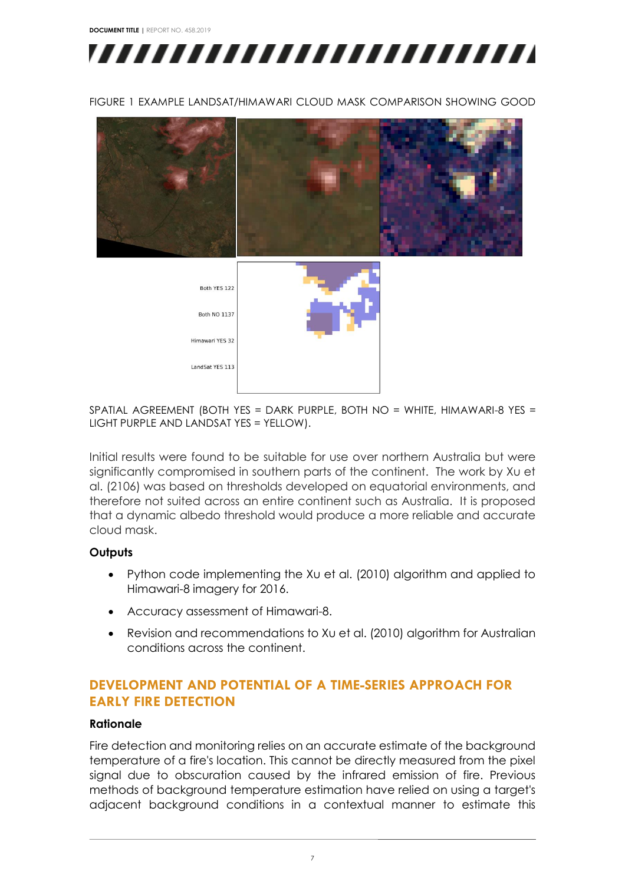**DOCUMENT TITLE |** REPORT NO. 458.2019



FIGURE 1 EXAMPLE LANDSAT/HIMAWARI CLOUD MASK COMPARISON SHOWING GOOD



SPATIAL AGREEMENT (BOTH YES = DARK PURPLE, BOTH NO = WHITE, HIMAWARI-8 YES = LIGHT PURPLE AND LANDSAT YES = YELLOW).

Initial results were found to be suitable for use over northern Australia but were significantly compromised in southern parts of the continent. The work by Xu et al. (2106) was based on thresholds developed on equatorial environments, and therefore not suited across an entire continent such as Australia. It is proposed that a dynamic albedo threshold would produce a more reliable and accurate cloud mask.

#### **Outputs**

- Python code implementing the Xu et al. (2010) algorithm and applied to Himawari-8 imagery for 2016.
- Accuracy assessment of Himawari-8.
- Revision and recommendations to Xu et al. (2010) algorithm for Australian conditions across the continent.

#### **DEVELOPMENT AND POTENTIAL OF A TIME-SERIES APPROACH FOR EARLY FIRE DETECTION**

#### **Rationale**

Fire detection and monitoring relies on an accurate estimate of the background temperature of a fire's location. This cannot be directly measured from the pixel signal due to obscuration caused by the infrared emission of fire. Previous methods of background temperature estimation have relied on using a target's adjacent background conditions in a contextual manner to estimate this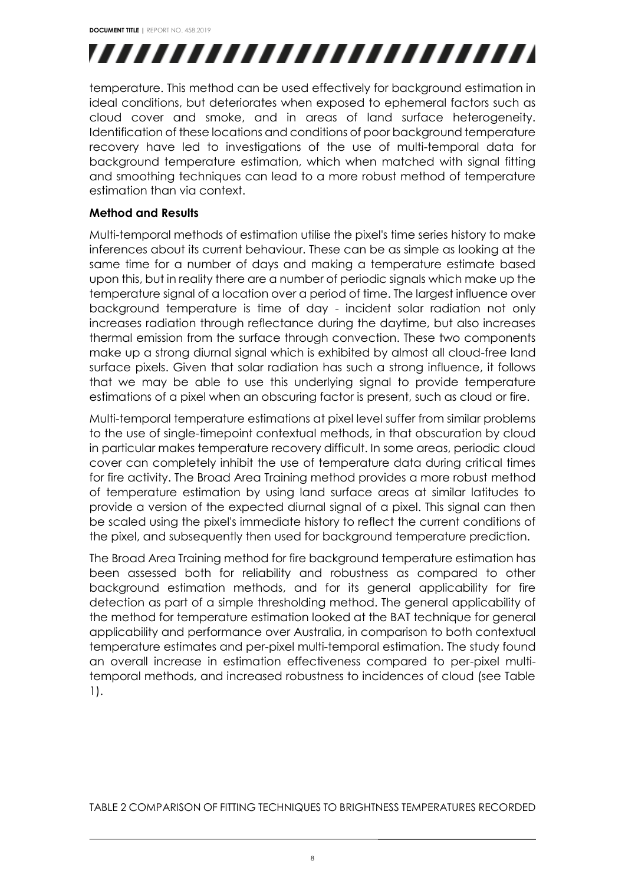

temperature. This method can be used effectively for background estimation in ideal conditions, but deteriorates when exposed to ephemeral factors such as cloud cover and smoke, and in areas of land surface heterogeneity. Identification of these locations and conditions of poor background temperature recovery have led to investigations of the use of multi-temporal data for background temperature estimation, which when matched with signal fitting and smoothing techniques can lead to a more robust method of temperature estimation than via context.

#### **Method and Results**

Multi-temporal methods of estimation utilise the pixel's time series history to make inferences about its current behaviour. These can be as simple as looking at the same time for a number of days and making a temperature estimate based upon this, but in reality there are a number of periodic signals which make up the temperature signal of a location over a period of time. The largest influence over background temperature is time of day - incident solar radiation not only increases radiation through reflectance during the daytime, but also increases thermal emission from the surface through convection. These two components make up a strong diurnal signal which is exhibited by almost all cloud-free land surface pixels. Given that solar radiation has such a strong influence, it follows that we may be able to use this underlying signal to provide temperature estimations of a pixel when an obscuring factor is present, such as cloud or fire.

Multi-temporal temperature estimations at pixel level suffer from similar problems to the use of single-timepoint contextual methods, in that obscuration by cloud in particular makes temperature recovery difficult. In some areas, periodic cloud cover can completely inhibit the use of temperature data during critical times for fire activity. The Broad Area Training method provides a more robust method of temperature estimation by using land surface areas at similar latitudes to provide a version of the expected diurnal signal of a pixel. This signal can then be scaled using the pixel's immediate history to reflect the current conditions of the pixel, and subsequently then used for background temperature prediction.

The Broad Area Training method for fire background temperature estimation has been assessed both for reliability and robustness as compared to other background estimation methods, and for its general applicability for fire detection as part of a simple thresholding method. The general applicability of the method for temperature estimation looked at the BAT technique for general applicability and performance over Australia, in comparison to both contextual temperature estimates and per-pixel multi-temporal estimation. The study found an overall increase in estimation effectiveness compared to per-pixel multitemporal methods, and increased robustness to incidences of cloud (see Table 1).

TABLE 2 COMPARISON OF FITTING TECHNIQUES TO BRIGHTNESS TEMPERATURES RECORDED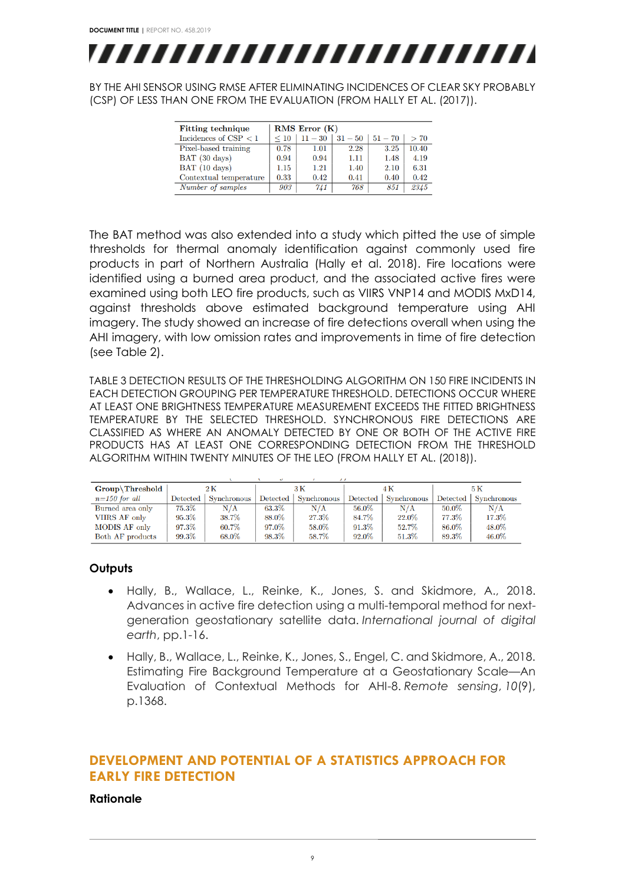

BY THE AHI SENSOR USING RMSE AFTER ELIMINATING INCIDENCES OF CLEAR SKY PROBABLY (CSP) OF LESS THAN ONE FROM THE EVALUATION (FROM HALLY ET AL. (2017)).

| <b>Fitting technique</b> | <b>RMS Error</b> (K) |         |                       |      |       |  |
|--------------------------|----------------------|---------|-----------------------|------|-------|--|
| Incidences of $CSP < 1$  | $\leq 10$            | $11-30$ | $31 - 50$   $51 - 70$ |      | > 70  |  |
| Pixel-based training     | 0.78                 | 1.01    | 2.28                  | 3.25 | 10.40 |  |
| BAT (30 days)            | 0.94                 | 0.94    | 1.11                  | 1.48 | 4.19  |  |
| BAT (10 days)            | 1.15                 | 1.21    | 1.40                  | 2.10 | 6.31  |  |
| Contextual temperature   | 0.33                 | 0.42    | 0.41                  | 0.40 | 0.42  |  |
| Number of samples        | 903                  | 741     | 768                   | 851  | 2345  |  |

The BAT method was also extended into a study which pitted the use of simple thresholds for thermal anomaly identification against commonly used fire products in part of Northern Australia (Hally et al. 2018). Fire locations were identified using a burned area product, and the associated active fires were examined using both LEO fire products, such as VIIRS VNP14 and MODIS MxD14, against thresholds above estimated background temperature using AHI imagery. The study showed an increase of fire detections overall when using the AHI imagery, with low omission rates and improvements in time of fire detection (see Table 2).

TABLE 3 DETECTION RESULTS OF THE THRESHOLDING ALGORITHM ON 150 FIRE INCIDENTS IN EACH DETECTION GROUPING PER TEMPERATURE THRESHOLD. DETECTIONS OCCUR WHERE AT LEAST ONE BRIGHTNESS TEMPERATURE MEASUREMENT EXCEEDS THE FITTED BRIGHTNESS TEMPERATURE BY THE SELECTED THRESHOLD. SYNCHRONOUS FIRE DETECTIONS ARE CLASSIFIED AS WHERE AN ANOMALY DETECTED BY ONE OR BOTH OF THE ACTIVE FIRE PRODUCTS HAS AT LEAST ONE CORRESPONDING DETECTION FROM THE THRESHOLD ALGORITHM WITHIN TWENTY MINUTES OF THE LEO (FROM HALLY ET AL. (2018)).

| $Group\langle Threshold\,\rangle$ | $2\,\mathrm{K}$ |             | 3 K      |             |          |             | 5 K      |                    |
|-----------------------------------|-----------------|-------------|----------|-------------|----------|-------------|----------|--------------------|
| $n=150$ for all                   | Detected        | Synchronous | Detected | Synchronous | Detected | Synchronous | Detected | <b>Synchronous</b> |
| Burned area only                  | 75.3%           | N/A         | 63.3%    | N/A         | 56.0%    | N/A         | $50.0\%$ | N/A                |
| VIIRS AF only                     | 95.3%           | 38.7%       | 88.0%    | $27.3\%$    | 84.7%    | 22.0%       | 77.3%    | 17.3%              |
| MODIS AF only                     | 97.3%           | 60.7%       | 97.0%    | 58.0%       | $91.3\%$ | 52.7%       | 86.0%    | 48.0%              |
| Both AF products                  | 99.3%           | 68.0%       | 98.3%    | 58.7%       | 92.0%    | 51.3%       | 89.3%    | 46.0%              |

#### **Outputs**

- Hally, B., Wallace, L., Reinke, K., Jones, S. and Skidmore, A., 2018. Advances in active fire detection using a multi-temporal method for nextgeneration geostationary satellite data. *International journal of digital earth*, pp.1-16.
- Hally, B., Wallace, L., Reinke, K., Jones, S., Engel, C. and Skidmore, A., 2018. Estimating Fire Background Temperature at a Geostationary Scale—An Evaluation of Contextual Methods for AHI-8. *Remote sensing*, *10*(9), p.1368.

#### **DEVELOPMENT AND POTENTIAL OF A STATISTICS APPROACH FOR EARLY FIRE DETECTION**

#### **Rationale**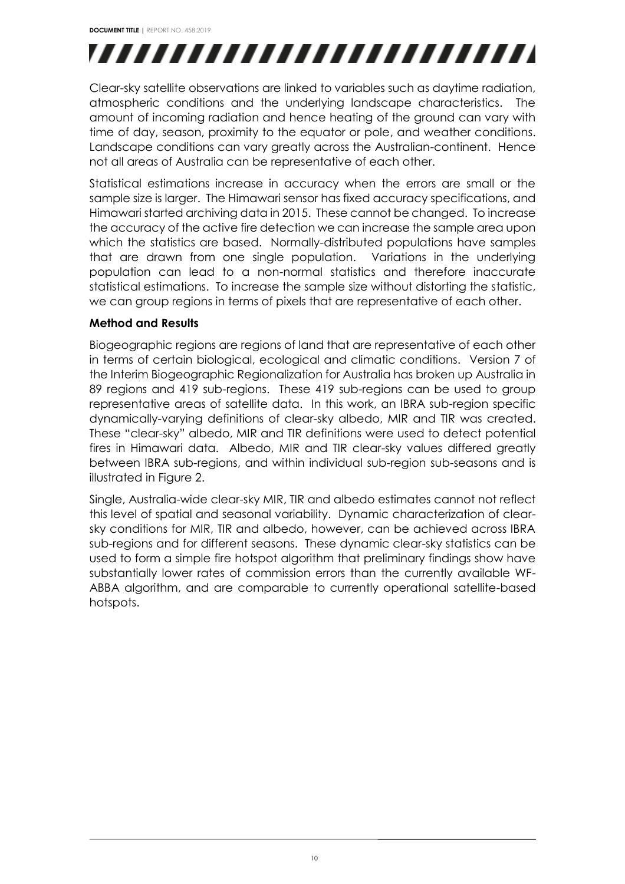Clear-sky satellite observations are linked to variables such as daytime radiation, atmospheric conditions and the underlying landscape characteristics. The amount of incoming radiation and hence heating of the ground can vary with time of day, season, proximity to the equator or pole, and weather conditions. Landscape conditions can vary greatly across the Australian-continent. Hence not all areas of Australia can be representative of each other.

Statistical estimations increase in accuracy when the errors are small or the sample size is larger. The Himawari sensor has fixed accuracy specifications, and Himawari started archiving data in 2015. These cannot be changed. To increase the accuracy of the active fire detection we can increase the sample area upon which the statistics are based. Normally-distributed populations have samples that are drawn from one single population. Variations in the underlying population can lead to a non-normal statistics and therefore inaccurate statistical estimations. To increase the sample size without distorting the statistic, we can group regions in terms of pixels that are representative of each other.

#### **Method and Results**

Biogeographic regions are regions of land that are representative of each other in terms of certain biological, ecological and climatic conditions. Version 7 of the Interim Biogeographic Regionalization for Australia has broken up Australia in 89 regions and 419 sub-regions. These 419 sub-regions can be used to group representative areas of satellite data. In this work, an IBRA sub-region specific dynamically-varying definitions of clear-sky albedo, MIR and TIR was created. These "clear-sky" albedo, MIR and TIR definitions were used to detect potential fires in Himawari data. Albedo, MIR and TIR clear-sky values differed greatly between IBRA sub-regions, and within individual sub-region sub-seasons and is illustrated in Figure 2.

Single, Australia-wide clear-sky MIR, TIR and albedo estimates cannot not reflect this level of spatial and seasonal variability. Dynamic characterization of clearsky conditions for MIR, TIR and albedo, however, can be achieved across IBRA sub-regions and for different seasons. These dynamic clear-sky statistics can be used to form a simple fire hotspot algorithm that preliminary findings show have substantially lower rates of commission errors than the currently available WF-ABBA algorithm, and are comparable to currently operational satellite-based hotspots.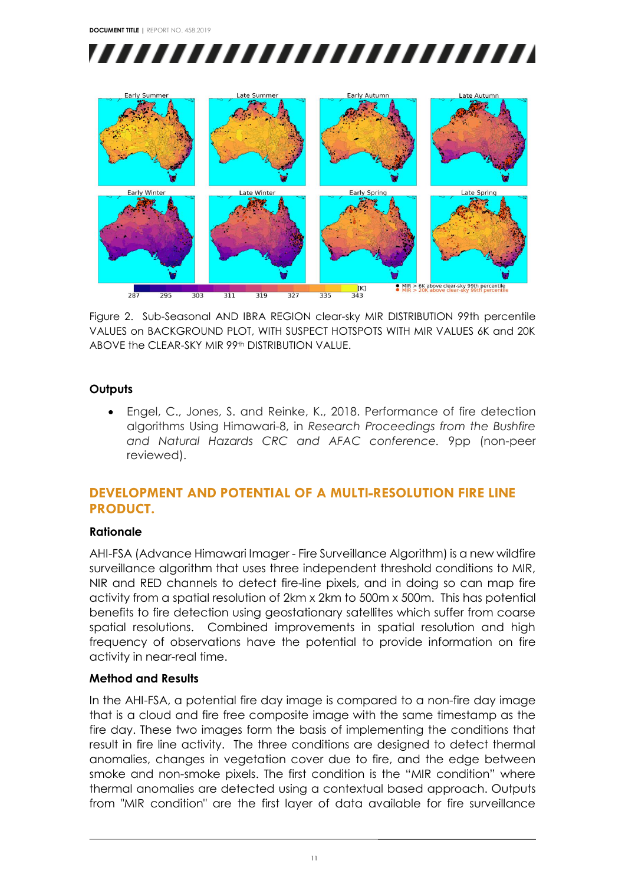



Figure 2. Sub-Seasonal AND IBRA REGION clear-sky MIR DISTRIBUTION 99th percentile VALUES on BACKGROUND PLOT, WITH SUSPECT HOTSPOTS WITH MIR VALUES 6K and 20K ABOVE the CLEAR-SKY MIR 99th DISTRIBUTION VALUE.

#### **Outputs**

• Engel, C., Jones, S. and Reinke, K., 2018. Performance of fire detection algorithms Using Himawari-8, in *Research Proceedings from the Bushfire and Natural Hazards CRC and AFAC conference.* 9pp (non-peer reviewed).

#### **DEVELOPMENT AND POTENTIAL OF A MULTI-RESOLUTION FIRE LINE PRODUCT.**

#### **Rationale**

AHI-FSA (Advance Himawari Imager - Fire Surveillance Algorithm) is a new wildfire surveillance algorithm that uses three independent threshold conditions to MIR, NIR and RED channels to detect fire-line pixels, and in doing so can map fire activity from a spatial resolution of 2km x 2km to 500m x 500m. This has potential benefits to fire detection using geostationary satellites which suffer from coarse spatial resolutions. Combined improvements in spatial resolution and high frequency of observations have the potential to provide information on fire activity in near-real time.

#### **Method and Results**

In the AHI-FSA, a potential fire day image is compared to a non-fire day image that is a cloud and fire free composite image with the same timestamp as the fire day. These two images form the basis of implementing the conditions that result in fire line activity. The three conditions are designed to detect thermal anomalies, changes in vegetation cover due to fire, and the edge between smoke and non-smoke pixels. The first condition is the "MIR condition" where thermal anomalies are detected using a contextual based approach. Outputs from "MIR condition" are the first layer of data available for fire surveillance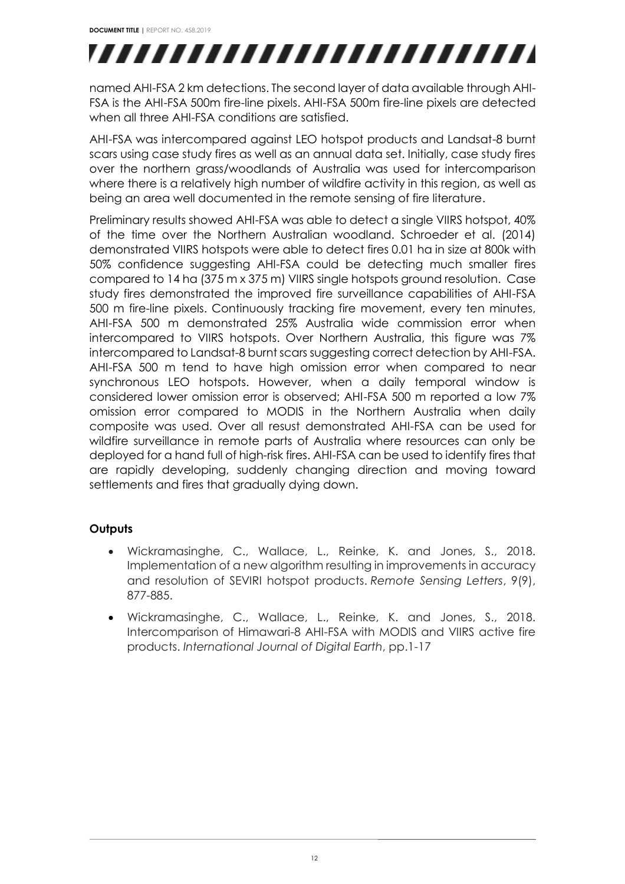named AHI-FSA 2 km detections. The second layer of data available through AHI-FSA is the AHI-FSA 500m fire-line pixels. AHI-FSA 500m fire-line pixels are detected when all three AHI-FSA conditions are satisfied.

AHI-FSA was intercompared against LEO hotspot products and Landsat-8 burnt scars using case study fires as well as an annual data set. Initially, case study fires over the northern grass/woodlands of Australia was used for intercomparison where there is a relatively high number of wildfire activity in this region, as well as being an area well documented in the remote sensing of fire literature.

Preliminary results showed AHI-FSA was able to detect a single VIIRS hotspot, 40% of the time over the Northern Australian woodland. Schroeder et al. (2014) demonstrated VIIRS hotspots were able to detect fires 0.01 ha in size at 800k with 50% confidence suggesting AHI-FSA could be detecting much smaller fires compared to 14 ha (375 m x 375 m) VIIRS single hotspots ground resolution. Case study fires demonstrated the improved fire surveillance capabilities of AHI-FSA 500 m fire-line pixels. Continuously tracking fire movement, every ten minutes, AHI-FSA 500 m demonstrated 25% Australia wide commission error when intercompared to VIIRS hotspots. Over Northern Australia, this figure was 7% intercompared to Landsat-8 burnt scars suggesting correct detection by AHI-FSA. AHI-FSA 500 m tend to have high omission error when compared to near synchronous LEO hotspots. However, when a daily temporal window is considered lower omission error is observed; AHI-FSA 500 m reported a low 7% omission error compared to MODIS in the Northern Australia when daily composite was used. Over all resust demonstrated AHI-FSA can be used for wildfire surveillance in remote parts of Australia where resources can only be deployed for a hand full of high-risk fires. AHI-FSA can be used to identify fires that are rapidly developing, suddenly changing direction and moving toward settlements and fires that gradually dying down.

#### **Outputs**

- Wickramasinghe, C., Wallace, L., Reinke, K. and Jones, S., 2018. Implementation of a new algorithm resulting in improvements in accuracy and resolution of SEVIRI hotspot products. *Remote Sensing Letters*, 9(9), 877-885.
- Wickramasinghe, C., Wallace, L., Reinke, K. and Jones, S., 2018. Intercomparison of Himawari-8 AHI-FSA with MODIS and VIIRS active fire products. *International Journal of Digital Earth*, pp.1-17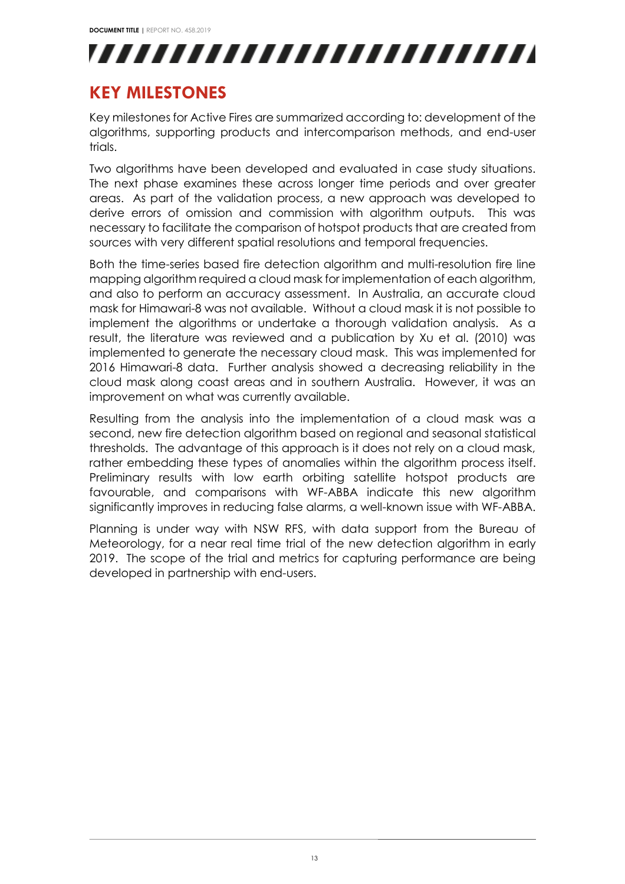

## <span id="page-13-0"></span>**KEY MILESTONES**

Key milestones for Active Fires are summarized according to: development of the algorithms, supporting products and intercomparison methods, and end-user trials.

Two algorithms have been developed and evaluated in case study situations. The next phase examines these across longer time periods and over greater areas. As part of the validation process, a new approach was developed to derive errors of omission and commission with algorithm outputs. This was necessary to facilitate the comparison of hotspot products that are created from sources with very different spatial resolutions and temporal frequencies.

Both the time-series based fire detection algorithm and multi-resolution fire line mapping algorithm required a cloud mask for implementation of each algorithm, and also to perform an accuracy assessment. In Australia, an accurate cloud mask for Himawari-8 was not available. Without a cloud mask it is not possible to implement the algorithms or undertake a thorough validation analysis. As a result, the literature was reviewed and a publication by Xu et al. (2010) was implemented to generate the necessary cloud mask. This was implemented for 2016 Himawari-8 data. Further analysis showed a decreasing reliability in the cloud mask along coast areas and in southern Australia. However, it was an improvement on what was currently available.

Resulting from the analysis into the implementation of a cloud mask was a second, new fire detection algorithm based on regional and seasonal statistical thresholds. The advantage of this approach is it does not rely on a cloud mask, rather embedding these types of anomalies within the algorithm process itself. Preliminary results with low earth orbiting satellite hotspot products are favourable, and comparisons with WF-ABBA indicate this new algorithm significantly improves in reducing false alarms, a well-known issue with WF-ABBA.

Planning is under way with NSW RFS, with data support from the Bureau of Meteorology, for a near real time trial of the new detection algorithm in early 2019. The scope of the trial and metrics for capturing performance are being developed in partnership with end-users.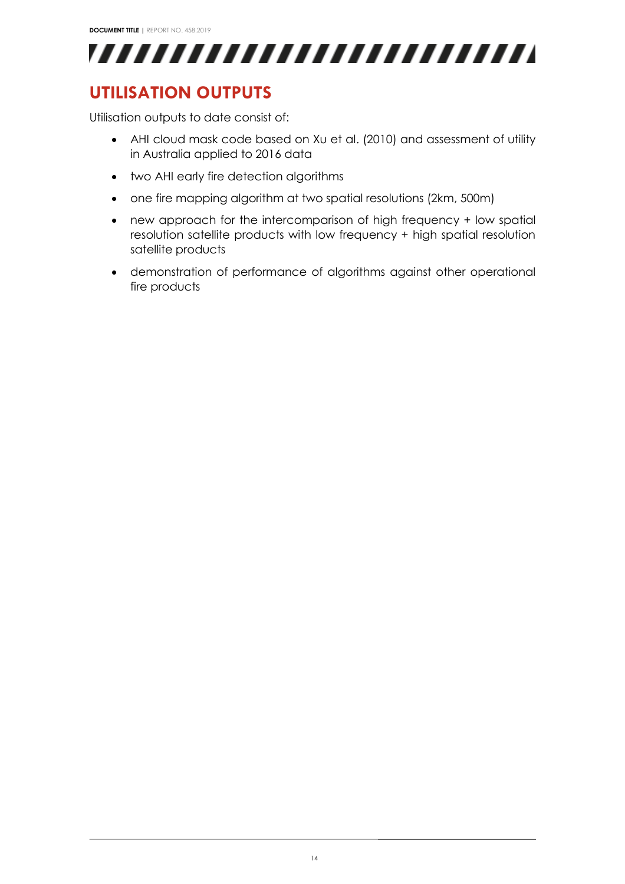

## <span id="page-14-0"></span>**UTILISATION OUTPUTS**

Utilisation outputs to date consist of:

- AHI cloud mask code based on Xu et al. (2010) and assessment of utility in Australia applied to 2016 data
- two AHI early fire detection algorithms
- one fire mapping algorithm at two spatial resolutions (2km, 500m)
- new approach for the intercomparison of high frequency + low spatial resolution satellite products with low frequency + high spatial resolution satellite products
- demonstration of performance of algorithms against other operational fire products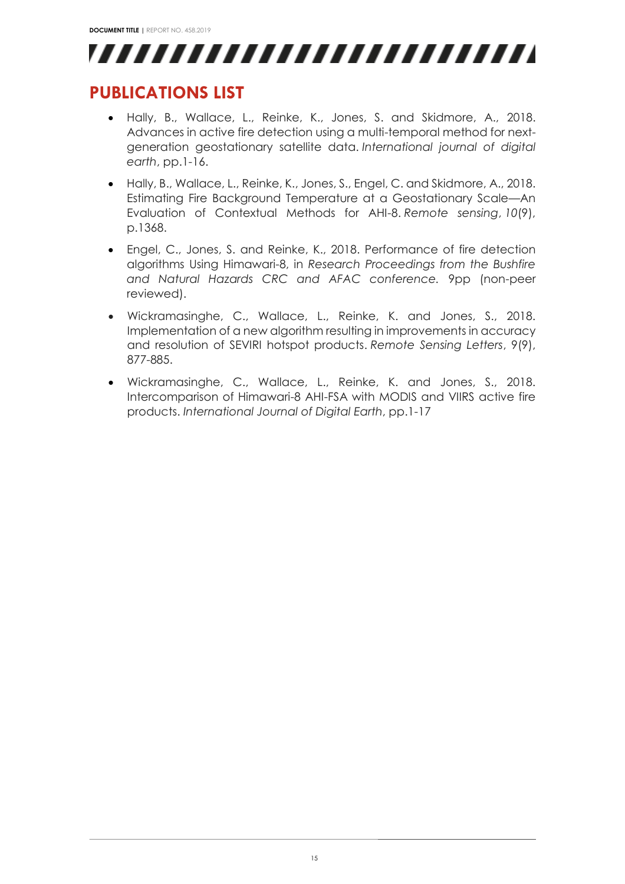

## <span id="page-15-0"></span>**PUBLICATIONS LIST**

- Hally, B., Wallace, L., Reinke, K., Jones, S. and Skidmore, A., 2018. Advances in active fire detection using a multi-temporal method for nextgeneration geostationary satellite data. *International journal of digital earth*, pp.1-16.
- Hally, B., Wallace, L., Reinke, K., Jones, S., Engel, C. and Skidmore, A., 2018. Estimating Fire Background Temperature at a Geostationary Scale—An Evaluation of Contextual Methods for AHI-8. *Remote sensing*, *10*(9), p.1368.
- Engel, C., Jones, S. and Reinke, K., 2018. Performance of fire detection algorithms Using Himawari-8, in *Research Proceedings from the Bushfire and Natural Hazards CRC and AFAC conference.* 9pp (non-peer reviewed).
- Wickramasinghe, C., Wallace, L., Reinke, K. and Jones, S., 2018. Implementation of a new algorithm resulting in improvements in accuracy and resolution of SEVIRI hotspot products. *Remote Sensing Letters*, 9(9), 877-885.
- Wickramasinghe, C., Wallace, L., Reinke, K. and Jones, S., 2018. Intercomparison of Himawari-8 AHI-FSA with MODIS and VIIRS active fire products. *International Journal of Digital Earth*, pp.1-17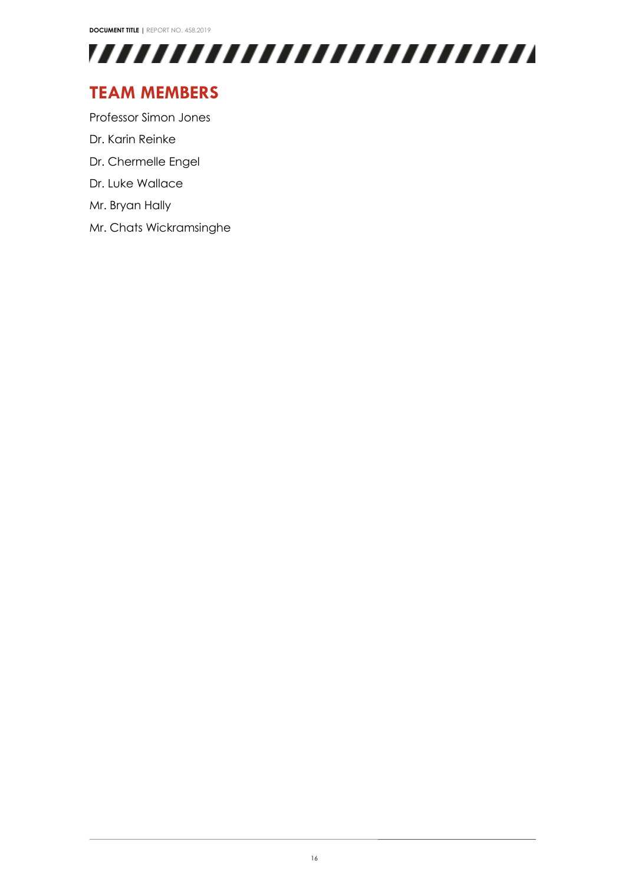

## <span id="page-16-0"></span>**TEAM MEMBERS**

Professor Simon Jones

- Dr. Karin Reinke
- Dr. Chermelle Engel
- Dr. Luke Wallace
- Mr. Bryan Hally
- Mr. Chats Wickramsinghe